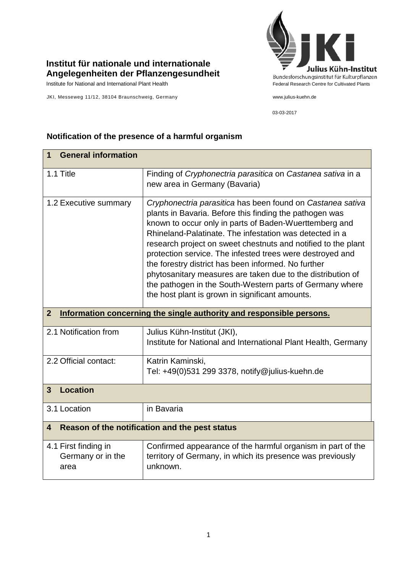## **Institut für nationale und internationale Angelegenheiten der Pflanzengesundheit**

JKI, Messeweg 11/12, 38104 Braunschweig, Germany www.julius-kuehn.de



03-03-2017

## **Notification of the presence of a harmful organism**

| <b>General information</b><br>1                                                        |                                                                                                                                                                                                                                                                                                                                                                                                                                                                                                                                                                                                               |  |
|----------------------------------------------------------------------------------------|---------------------------------------------------------------------------------------------------------------------------------------------------------------------------------------------------------------------------------------------------------------------------------------------------------------------------------------------------------------------------------------------------------------------------------------------------------------------------------------------------------------------------------------------------------------------------------------------------------------|--|
| 1.1 Title                                                                              | Finding of Cryphonectria parasitica on Castanea sativa in a<br>new area in Germany (Bavaria)                                                                                                                                                                                                                                                                                                                                                                                                                                                                                                                  |  |
| 1.2 Executive summary                                                                  | Cryphonectria parasitica has been found on Castanea sativa<br>plants in Bavaria. Before this finding the pathogen was<br>known to occur only in parts of Baden-Wuerttemberg and<br>Rhineland-Palatinate. The infestation was detected in a<br>research project on sweet chestnuts and notified to the plant<br>protection service. The infested trees were destroyed and<br>the forestry district has been informed. No further<br>phytosanitary measures are taken due to the distribution of<br>the pathogen in the South-Western parts of Germany where<br>the host plant is grown in significant amounts. |  |
| $\overline{2}$<br>Information concerning the single authority and responsible persons. |                                                                                                                                                                                                                                                                                                                                                                                                                                                                                                                                                                                                               |  |
| 2.1 Notification from                                                                  | Julius Kühn-Institut (JKI),<br>Institute for National and International Plant Health, Germany                                                                                                                                                                                                                                                                                                                                                                                                                                                                                                                 |  |
| 2.2 Official contact:                                                                  | Katrin Kaminski,<br>Tel: +49(0)531 299 3378, notify@julius-kuehn.de                                                                                                                                                                                                                                                                                                                                                                                                                                                                                                                                           |  |
| <b>Location</b><br>$\overline{3}$                                                      |                                                                                                                                                                                                                                                                                                                                                                                                                                                                                                                                                                                                               |  |
| 3.1 Location                                                                           | in Bavaria                                                                                                                                                                                                                                                                                                                                                                                                                                                                                                                                                                                                    |  |
| Reason of the notification and the pest status<br>4                                    |                                                                                                                                                                                                                                                                                                                                                                                                                                                                                                                                                                                                               |  |
| 4.1 First finding in<br>Germany or in the<br>area                                      | Confirmed appearance of the harmful organism in part of the<br>territory of Germany, in which its presence was previously<br>unknown.                                                                                                                                                                                                                                                                                                                                                                                                                                                                         |  |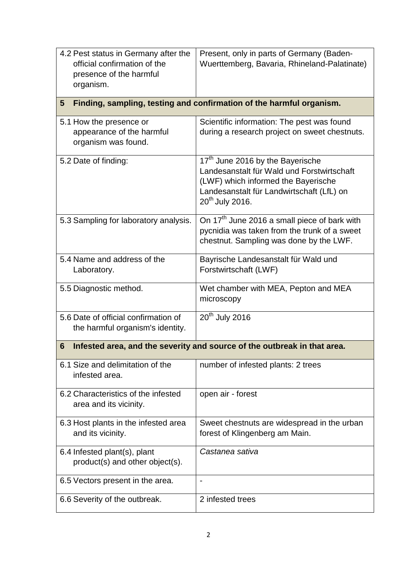| 4.2 Pest status in Germany after the<br>official confirmation of the<br>presence of the harmful<br>organism. | Present, only in parts of Germany (Baden-<br>Wuerttemberg, Bavaria, Rhineland-Palatinate)                                                                                                                     |  |
|--------------------------------------------------------------------------------------------------------------|---------------------------------------------------------------------------------------------------------------------------------------------------------------------------------------------------------------|--|
| Finding, sampling, testing and confirmation of the harmful organism.<br>5 <sup>5</sup>                       |                                                                                                                                                                                                               |  |
| 5.1 How the presence or<br>appearance of the harmful<br>organism was found.                                  | Scientific information: The pest was found<br>during a research project on sweet chestnuts.                                                                                                                   |  |
| 5.2 Date of finding:                                                                                         | 17 <sup>th</sup> June 2016 by the Bayerische<br>Landesanstalt für Wald und Forstwirtschaft<br>(LWF) which informed the Bayerische<br>Landesanstalt für Landwirtschaft (LfL) on<br>20 <sup>th</sup> July 2016. |  |
| 5.3 Sampling for laboratory analysis.                                                                        | On 17 <sup>th</sup> June 2016 a small piece of bark with<br>pycnidia was taken from the trunk of a sweet<br>chestnut. Sampling was done by the LWF.                                                           |  |
| 5.4 Name and address of the<br>Laboratory.                                                                   | Bayrische Landesanstalt für Wald und<br>Forstwirtschaft (LWF)                                                                                                                                                 |  |
| 5.5 Diagnostic method.                                                                                       | Wet chamber with MEA, Pepton and MEA<br>microscopy                                                                                                                                                            |  |
| 5.6 Date of official confirmation of<br>the harmful organism's identity.                                     | 20 <sup>th</sup> July 2016                                                                                                                                                                                    |  |
| Infested area, and the severity and source of the outbreak in that area.<br>6                                |                                                                                                                                                                                                               |  |
| 6.1 Size and delimitation of the<br>infested area.                                                           | number of infested plants: 2 trees                                                                                                                                                                            |  |
| 6.2 Characteristics of the infested<br>area and its vicinity.                                                | open air - forest                                                                                                                                                                                             |  |
| 6.3 Host plants in the infested area<br>and its vicinity.                                                    | Sweet chestnuts are widespread in the urban<br>forest of Klingenberg am Main.                                                                                                                                 |  |
| 6.4 Infested plant(s), plant<br>product(s) and other object(s).                                              | Castanea sativa                                                                                                                                                                                               |  |
| 6.5 Vectors present in the area.                                                                             | $\overline{a}$                                                                                                                                                                                                |  |
| 6.6 Severity of the outbreak.                                                                                | 2 infested trees                                                                                                                                                                                              |  |